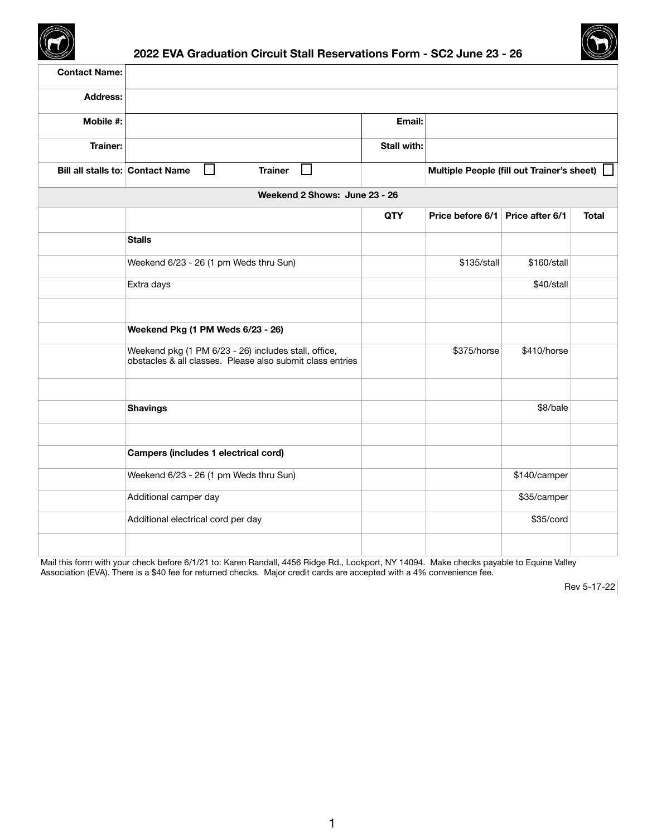



# **2022 EVA Graduation Circuit Stall Reservations Form - SC2 June 23 - 26**

| <b>Contact Name:</b>                    |                                                                                                                   |                    |                                            |               |              |
|-----------------------------------------|-------------------------------------------------------------------------------------------------------------------|--------------------|--------------------------------------------|---------------|--------------|
| <b>Address:</b>                         |                                                                                                                   |                    |                                            |               |              |
| <b>Mobile #:</b>                        |                                                                                                                   | Email:             |                                            |               |              |
| <b>Trainer:</b>                         |                                                                                                                   | <b>Stall with:</b> |                                            |               |              |
| <b>Bill all stalls to: Contact Name</b> | <b>Trainer</b><br>I.                                                                                              |                    | Multiple People (fill out Trainer's sheet) |               |              |
|                                         | Weekend 2 Shows: June 23 - 26                                                                                     |                    |                                            |               |              |
|                                         |                                                                                                                   | <b>QTY</b>         | Price before 6/1 Price after 6/1           |               | <b>Total</b> |
|                                         | <b>Stalls</b>                                                                                                     |                    |                                            |               |              |
|                                         | Weekend 6/23 - 26 (1 pm Weds thru Sun)                                                                            |                    | \$135/stall                                | \$160/stall   |              |
|                                         | Extra days                                                                                                        |                    |                                            | \$40/stall    |              |
|                                         |                                                                                                                   |                    |                                            |               |              |
|                                         | <b>Weekend Pkg (1 PM Weds 6/23 - 26)</b>                                                                          |                    |                                            |               |              |
|                                         | Weekend pkg (1 PM 6/23 - 26) includes stall, office,<br>obstacles & all classes. Please also submit class entries |                    | \$375/horse                                | $$410/h$ orse |              |
|                                         |                                                                                                                   |                    |                                            |               |              |
|                                         | <b>Shavings</b>                                                                                                   |                    |                                            | \$8/bale      |              |
|                                         |                                                                                                                   |                    |                                            |               |              |
|                                         | <b>Campers (includes 1 electrical cord)</b>                                                                       |                    |                                            |               |              |
|                                         | Weekend 6/23 - 26 (1 pm Weds thru Sun)                                                                            |                    |                                            | \$140/camper  |              |
|                                         | Additional camper day                                                                                             |                    |                                            | \$35/camper   |              |
|                                         |                                                                                                                   |                    |                                            |               |              |

| Additional electrical cord per day | \$35/cord |
|------------------------------------|-----------|
|                                    |           |

Mail this form with your check before 6/1/21 to: Karen Randall, 4456 Ridge Rd., Lockport, NY 14094. Make checks payable to Equine Valley Association (EVA). There is a \$40 fee for returned checks. Major credit cards are accepted with a 4% convenience fee.

Rev 5-17-22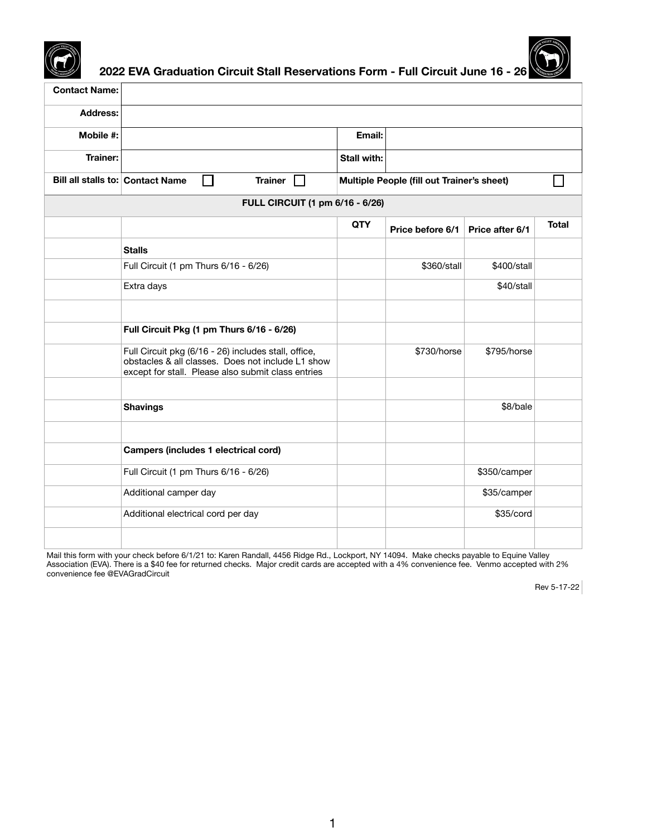



**2022 EVA Graduation Circuit Stall Reservations Form - Full Circuit June 16 - 26**

| <b>Contact Name:</b>                    |                                                                                                                                                                 |               |                                                   |                        |              |
|-----------------------------------------|-----------------------------------------------------------------------------------------------------------------------------------------------------------------|---------------|---------------------------------------------------|------------------------|--------------|
| <b>Address:</b>                         |                                                                                                                                                                 |               |                                                   |                        |              |
| <b>Mobile #:</b>                        |                                                                                                                                                                 | <b>Email:</b> |                                                   |                        |              |
| <b>Trainer:</b>                         |                                                                                                                                                                 | Stall with:   |                                                   |                        |              |
| <b>Bill all stalls to: Contact Name</b> | <b>Trainer</b>                                                                                                                                                  |               | <b>Multiple People (fill out Trainer's sheet)</b> |                        |              |
|                                         | <b>FULL CIRCUIT (1 pm 6/16 - 6/26)</b>                                                                                                                          |               |                                                   |                        |              |
|                                         |                                                                                                                                                                 | <b>QTY</b>    | Price before 6/1                                  | <b>Price after 6/1</b> | <b>Total</b> |
|                                         | <b>Stalls</b>                                                                                                                                                   |               |                                                   |                        |              |
|                                         | Full Circuit (1 pm Thurs 6/16 - 6/26)                                                                                                                           |               | \$360/stall                                       | \$400/stall            |              |
|                                         | Extra days                                                                                                                                                      |               |                                                   | \$40/stall             |              |
|                                         |                                                                                                                                                                 |               |                                                   |                        |              |
|                                         | Full Circuit Pkg (1 pm Thurs 6/16 - 6/26)                                                                                                                       |               |                                                   |                        |              |
|                                         | Full Circuit pkg (6/16 - 26) includes stall, office,<br>obstacles & all classes. Does not include L1 show<br>except for stall. Please also submit class entries |               | \$730/horse                                       | \$795/horse            |              |
|                                         |                                                                                                                                                                 |               |                                                   |                        |              |
|                                         | <b>Shavings</b>                                                                                                                                                 |               |                                                   | \$8/bale               |              |
|                                         |                                                                                                                                                                 |               |                                                   |                        |              |
|                                         | <b>Campers (includes 1 electrical cord)</b>                                                                                                                     |               |                                                   |                        |              |
|                                         | Full Circuit (1 pm Thurs 6/16 - 6/26)                                                                                                                           |               |                                                   | \$350/camper           |              |
|                                         | Additional camper day                                                                                                                                           |               |                                                   | \$35/camper            |              |
|                                         | Additional electrical cord per day                                                                                                                              |               |                                                   | \$35/cord              |              |

| $\mu$ reditional order to a bord por day |  | <b>QUULU</b> |
|------------------------------------------|--|--------------|
|                                          |  |              |
|                                          |  |              |
|                                          |  |              |
|                                          |  |              |
|                                          |  |              |

Mail this form with your check before 6/1/21 to: Karen Randall, 4456 Ridge Rd., Lockport, NY 14094. Make checks payable to Equine Valley Association (EVA). There is a \$40 fee for returned checks. Major credit cards are accepted with a 4% convenience fee. Venmo accepted with 2% convenience fee @EVAGradCircuit

Rev 5-17-22